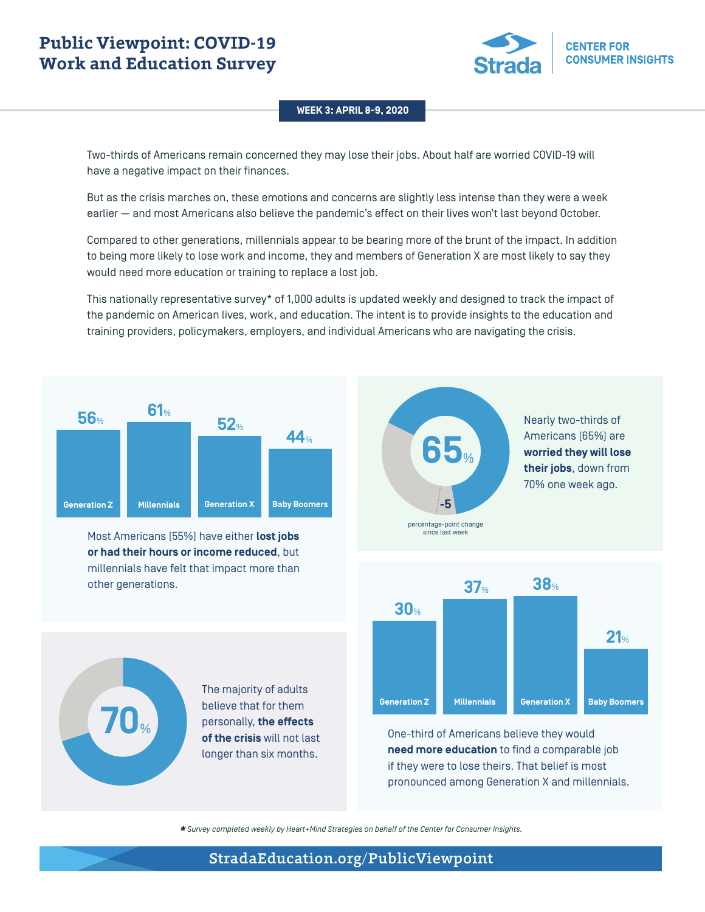# **Public Viewpoint: COVID-19 Work and Education Survey**



#### **WEEK 3: APRIL 8-9, 2020**

Two-thirds of Americans remain concerned they may lose their jobs. About half are worried COVID-19 will have a negative impact on their finances.

But as the crisis marches on, these emotions and concerns are slightly less intense than they were a week earlier — and most Americans also believe the pandemic's effect on their lives won't last beyond October.

Compared to other generations, millennials appear to be bearing more of the brunt of the impact. In addition to being more likely to lose work and income, they and members of Generation X are most likely to say they would need more education or training to replace a lost job.

This nationally representative survey\* of 1,000 adults is updated weekly and designed to track the impact of the pandemic on American lives, work, and education. The intent is to provide insights to the education and training providers, policymakers, employers, and individual Americans who are navigating the crisis.



Most Americans (55%) have either **lost jobs or had their hours or income reduced**, but millennials have felt that impact more than other generations.

> The majority of adults believe that for them personally, **the effects of the crisis** will not last longer than six months.



Nearly two-thirds of Americans (65%) are **worried they will lose their jobs**, down from 70% one week ago.





*\* Survey completed weekly by Heart+Mind Strategies on behalf of the Center for Consumer Insights.*

# StradaEducation.org/PublicViewpoint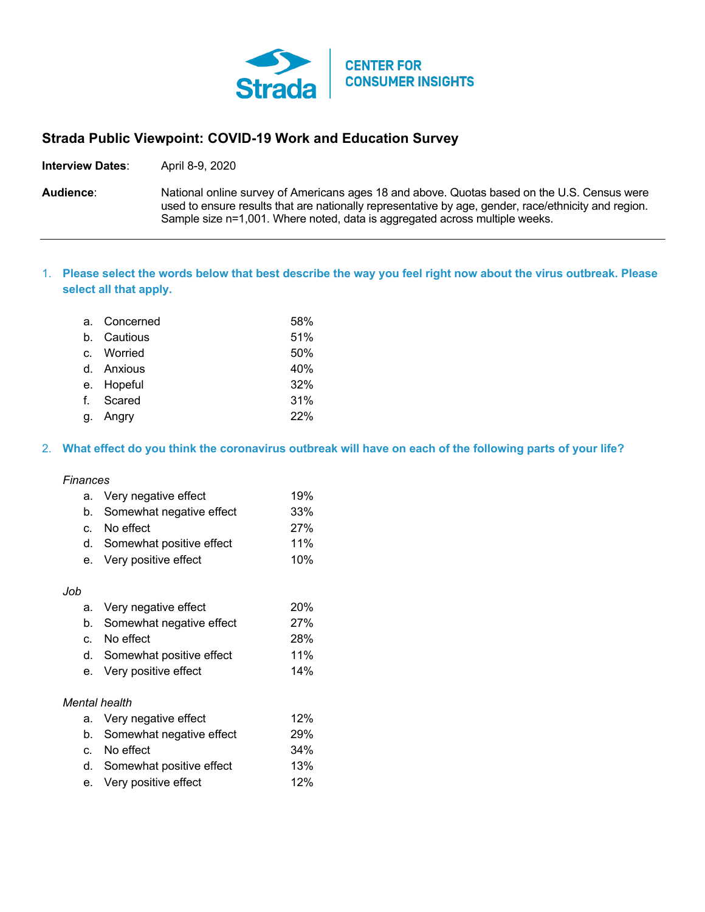

# **Strada Public Viewpoint: COVID-19 Work and Education Survey**

**Interview Dates**: April 8-9, 2020

**Audience**: National online survey of Americans ages 18 and above. Quotas based on the U.S. Census were used to ensure results that are nationally representative by age, gender, race/ethnicity and region. Sample size n=1,001. Where noted, data is aggregated across multiple weeks.

## 1. **Please select the words below that best describe the way you feel right now about the virus outbreak. Please select all that apply.**

| a. Concerned | 58% |
|--------------|-----|
| b. Cautious  | 51% |
| c. Worried   | 50% |
| d. Anxious   | 40% |
| e. Hopeful   | 32% |
| f. Scared    | 31% |
| g. Angry     | 22% |

#### 2. **What effect do you think the coronavirus outbreak will have on each of the following parts of your life?**

#### *Finances*

| a. Very negative effect     | 19% |
|-----------------------------|-----|
| b. Somewhat negative effect | 33% |
| c. No effect                | 27% |
| d. Somewhat positive effect | 11% |
| e. Very positive effect     | 10% |

#### *Job*

|                      | a. Very negative effect     | 20% |  |
|----------------------|-----------------------------|-----|--|
|                      | b. Somewhat negative effect | 27% |  |
| $\mathbf{C}$         | No effect                   | 28% |  |
|                      | d. Somewhat positive effect | 11% |  |
|                      | e. Very positive effect     | 14% |  |
|                      |                             |     |  |
| <b>Mental health</b> |                             |     |  |
|                      | a. Very negative effect     | 12% |  |
|                      | b. Somewhat negative effect | 29% |  |
|                      | No effect                   | 34% |  |

| d. Somewhat positive effect | 13% |
|-----------------------------|-----|
| e. Very positive effect     | 12% |